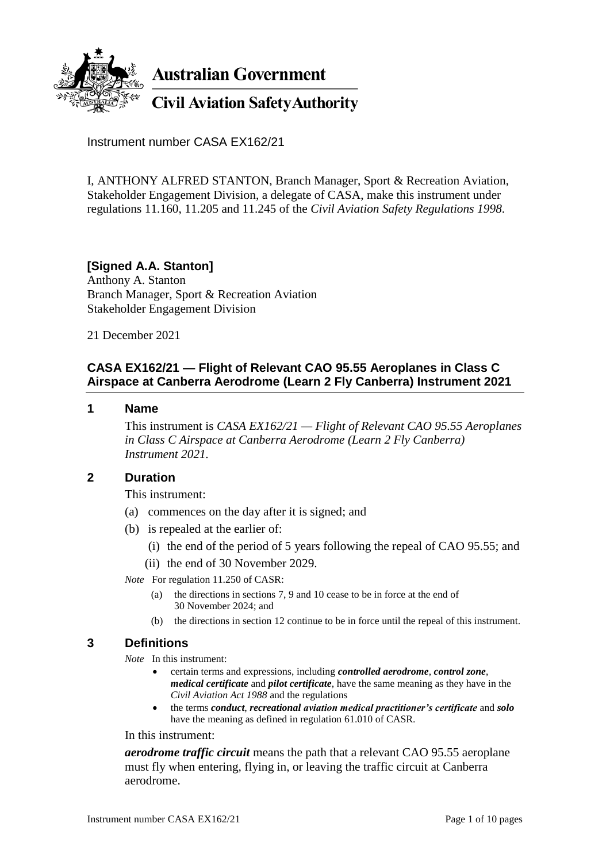

**Australian Government** 

**Civil Aviation Safety Authority** 

Instrument number CASA EX162/21

I, ANTHONY ALFRED STANTON, Branch Manager, Sport & Recreation Aviation, Stakeholder Engagement Division, a delegate of CASA, make this instrument under regulations 11.160, 11.205 and 11.245 of the *Civil Aviation Safety Regulations 1998*.

# **[Signed A.A. Stanton]**

Anthony A. Stanton Branch Manager, Sport & Recreation Aviation Stakeholder Engagement Division

21 December 2021

# **CASA EX162/21 — Flight of Relevant CAO 95.55 Aeroplanes in Class C Airspace at Canberra Aerodrome (Learn 2 Fly Canberra) Instrument 2021**

#### **1 Name**

This instrument is *CASA EX162/21 — Flight of Relevant CAO 95.55 Aeroplanes in Class C Airspace at Canberra Aerodrome (Learn 2 Fly Canberra) Instrument 2021.*

#### **2 Duration**

This instrument:

- (a) commences on the day after it is signed; and
- (b) is repealed at the earlier of:
	- (i) the end of the period of 5 years following the repeal of CAO 95.55; and
	- (ii) the end of 30 November 2029.
- *Note* For regulation 11.250 of CASR:
	- (a) the directions in sections 7, 9 and 10 cease to be in force at the end of 30 November 2024; and
	- (b) the directions in section 12 continue to be in force until the repeal of this instrument.

# **3 Definitions**

*Note* In this instrument:

- certain terms and expressions, including *controlled aerodrome*, *control zone*, *medical certificate* and *pilot certificate*, have the same meaning as they have in the *Civil Aviation Act 1988* and the regulations
- the terms *conduct*, *recreational aviation medical practitioner's certificate* and *solo* have the meaning as defined in regulation 61.010 of CASR.

In this instrument:

*aerodrome traffic circuit* means the path that a relevant CAO 95.55 aeroplane must fly when entering, flying in, or leaving the traffic circuit at Canberra aerodrome.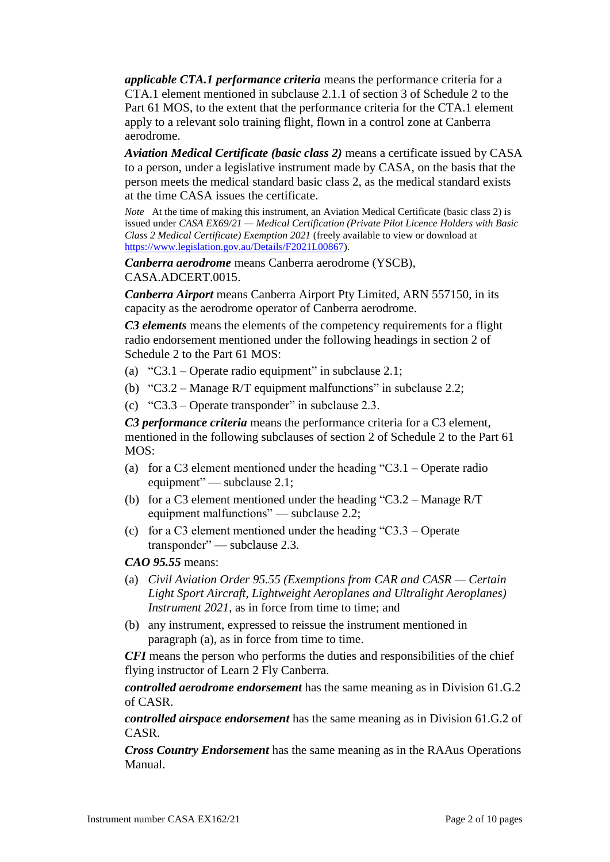*applicable CTA.1 performance criteria* means the performance criteria for a CTA.1 element mentioned in subclause 2.1.1 of section 3 of Schedule 2 to the Part 61 MOS, to the extent that the performance criteria for the CTA.1 element apply to a relevant solo training flight, flown in a control zone at Canberra aerodrome.

*Aviation Medical Certificate (basic class 2)* means a certificate issued by CASA to a person, under a legislative instrument made by CASA, on the basis that the person meets the medical standard basic class 2, as the medical standard exists at the time CASA issues the certificate.

*Note* At the time of making this instrument, an Aviation Medical Certificate (basic class 2) is issued under *CASA EX69/21 — Medical Certification (Private Pilot Licence Holders with Basic Class 2 Medical Certificate) Exemption 2021* (freely available to view or download at [https://www.legislation.gov.au/Details/F2021L00867\)](https://www.legislation.gov.au/Details/F2021L00867).

*Canberra aerodrome* means Canberra aerodrome (YSCB), CASA.ADCERT.0015.

*Canberra Airport* means Canberra Airport Pty Limited, ARN 557150, in its capacity as the aerodrome operator of Canberra aerodrome.

*C3 elements* means the elements of the competency requirements for a flight radio endorsement mentioned under the following headings in section 2 of Schedule 2 to the Part 61 MOS:

- (a) "C3.1 Operate radio equipment" in subclause 2.1;
- (b) "C3.2 Manage R/T equipment malfunctions" in subclause 2.2;
- (c) "C3.3 Operate transponder" in subclause 2.3.

*C3 performance criteria* means the performance criteria for a C3 element, mentioned in the following subclauses of section 2 of Schedule 2 to the Part 61 MOS:

- (a) for a C3 element mentioned under the heading "C3.1 Operate radio equipment" — subclause 2.1;
- (b) for a C3 element mentioned under the heading "C3.2 Manage R/T equipment malfunctions" — subclause 2.2;
- (c) for a C3 element mentioned under the heading "C3.3 Operate transponder" — subclause 2.3.

# *CAO 95.55* means:

- (a) *Civil Aviation Order 95.55 (Exemptions from CAR and CASR — Certain Light Sport Aircraft, Lightweight Aeroplanes and Ultralight Aeroplanes) Instrument 2021*, as in force from time to time; and
- (b) any instrument, expressed to reissue the instrument mentioned in paragraph (a), as in force from time to time.

*CFI* means the person who performs the duties and responsibilities of the chief flying instructor of Learn 2 Fly Canberra.

*controlled aerodrome endorsement* has the same meaning as in Division 61.G.2 of CASR.

*controlled airspace endorsement* has the same meaning as in Division 61.G.2 of CASR.

*Cross Country Endorsement* has the same meaning as in the RAAus Operations Manual.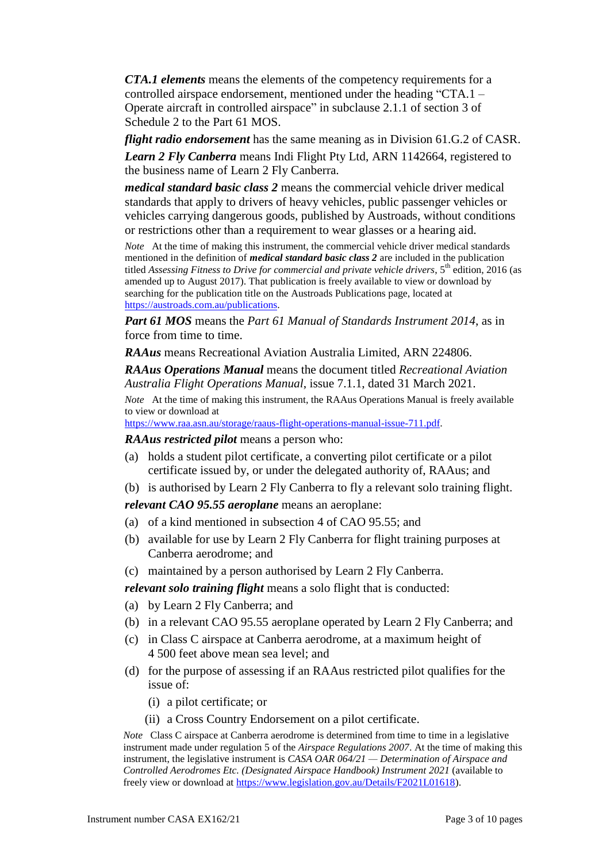*CTA.1 elements* means the elements of the competency requirements for a controlled airspace endorsement, mentioned under the heading "CTA.1 – Operate aircraft in controlled airspace" in subclause 2.1.1 of section 3 of Schedule 2 to the Part 61 MOS.

*flight radio endorsement* has the same meaning as in Division 61.G.2 of CASR. *Learn 2 Fly Canberra* means Indi Flight Pty Ltd, ARN 1142664, registered to the business name of Learn 2 Fly Canberra.

*medical standard basic class 2* means the commercial vehicle driver medical standards that apply to drivers of heavy vehicles, public passenger vehicles or vehicles carrying dangerous goods, published by Austroads, without conditions or restrictions other than a requirement to wear glasses or a hearing aid.

*Note* At the time of making this instrument, the commercial vehicle driver medical standards mentioned in the definition of *medical standard basic class 2* are included in the publication titled *Assessing Fitness to Drive for commercial and private vehicle drivers*, 5th edition, 2016 (as amended up to August 2017). That publication is freely available to view or download by searching for the publication title on the Austroads Publications page, located at [https://austroads.com.au/publications.](https://austroads.com.au/publications)

*Part 61 MOS* means the *Part 61 Manual of Standards Instrument 2014*, as in force from time to time.

*RAAus* means Recreational Aviation Australia Limited, ARN 224806.

*RAAus Operations Manual* means the document titled *Recreational Aviation Australia Flight Operations Manual*, issue 7.1.1, dated 31 March 2021.

*Note* At the time of making this instrument, the RAAus Operations Manual is freely available to view or download at

[https://www.raa.asn.au/storage/raaus-flight-operations-manual-issue-711.pdf.](https://www.raa.asn.au/storage/raaus-flight-operations-manual-issue-711.pdf)

*RAAus restricted pilot* means a person who:

- (a) holds a student pilot certificate, a converting pilot certificate or a pilot certificate issued by, or under the delegated authority of, RAAus; and
- (b) is authorised by Learn 2 Fly Canberra to fly a relevant solo training flight.

*relevant CAO 95.55 aeroplane* means an aeroplane:

- (a) of a kind mentioned in subsection 4 of CAO 95.55; and
- (b) available for use by Learn 2 Fly Canberra for flight training purposes at Canberra aerodrome; and
- (c) maintained by a person authorised by Learn 2 Fly Canberra.

*relevant solo training flight* means a solo flight that is conducted:

- (a) by Learn 2 Fly Canberra; and
- (b) in a relevant CAO 95.55 aeroplane operated by Learn 2 Fly Canberra; and
- (c) in Class C airspace at Canberra aerodrome, at a maximum height of 4 500 feet above mean sea level; and
- (d) for the purpose of assessing if an RAAus restricted pilot qualifies for the issue of:
	- (i) a pilot certificate; or
	- (ii) a Cross Country Endorsement on a pilot certificate.

*Note* Class C airspace at Canberra aerodrome is determined from time to time in a legislative instrument made under regulation 5 of the *Airspace Regulations 2007*. At the time of making this instrument, the legislative instrument is *CASA OAR 064/21 — Determination of Airspace and Controlled Aerodromes Etc. (Designated Airspace Handbook) Instrument 2021* (available to freely view or download a[t https://www.legislation.gov.au/Details/F2021L01618\)](https://www.legislation.gov.au/Details/F2021L01618).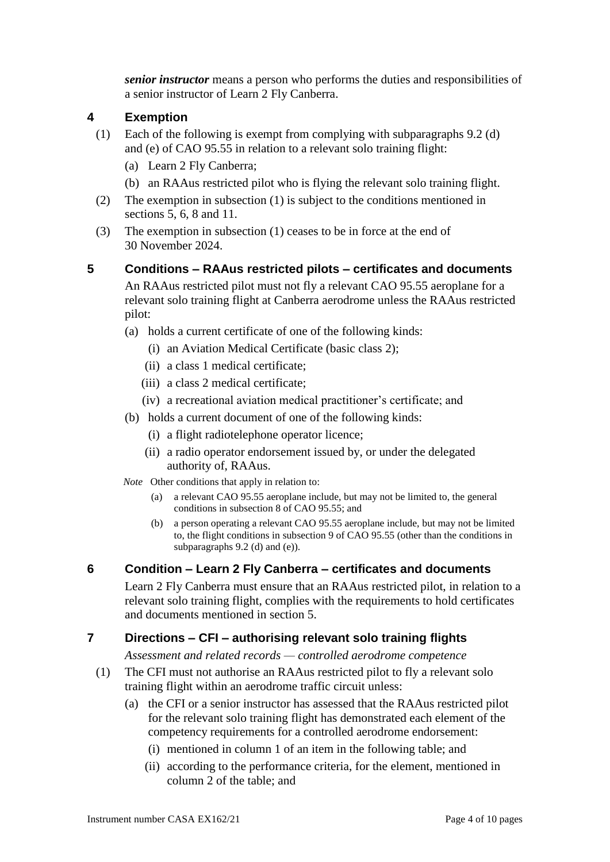*senior instructor* means a person who performs the duties and responsibilities of a senior instructor of Learn 2 Fly Canberra.

# **4 Exemption**

- (1) Each of the following is exempt from complying with subparagraphs 9.2 (d) and (e) of CAO 95.55 in relation to a relevant solo training flight:
	- (a) Learn 2 Fly Canberra;
	- (b) an RAAus restricted pilot who is flying the relevant solo training flight.
- (2) The exemption in subsection (1) is subject to the conditions mentioned in sections 5, 6, 8 and 11.
- (3) The exemption in subsection (1) ceases to be in force at the end of 30 November 2024.

#### **5 Conditions – RAAus restricted pilots – certificates and documents**

An RAAus restricted pilot must not fly a relevant CAO 95.55 aeroplane for a relevant solo training flight at Canberra aerodrome unless the RAAus restricted pilot:

- (a) holds a current certificate of one of the following kinds:
	- (i) an Aviation Medical Certificate (basic class 2);
	- (ii) a class 1 medical certificate;
	- (iii) a class 2 medical certificate;
	- (iv) a recreational aviation medical practitioner's certificate; and
- (b) holds a current document of one of the following kinds:
	- (i) a flight radiotelephone operator licence;
	- (ii) a radio operator endorsement issued by, or under the delegated authority of, RAAus.

*Note* Other conditions that apply in relation to:

- (a) a relevant CAO 95.55 aeroplane include, but may not be limited to, the general conditions in subsection 8 of CAO 95.55; and
- (b) a person operating a relevant CAO 95.55 aeroplane include, but may not be limited to, the flight conditions in subsection 9 of CAO 95.55 (other than the conditions in subparagraphs 9.2 (d) and (e)).

# **6 Condition – Learn 2 Fly Canberra – certificates and documents**

Learn 2 Fly Canberra must ensure that an RAAus restricted pilot, in relation to a relevant solo training flight, complies with the requirements to hold certificates and documents mentioned in section 5.

# **7 Directions – CFI – authorising relevant solo training flights**

*Assessment and related records — controlled aerodrome competence*

- (1) The CFI must not authorise an RAAus restricted pilot to fly a relevant solo training flight within an aerodrome traffic circuit unless:
	- (a) the CFI or a senior instructor has assessed that the RAAus restricted pilot for the relevant solo training flight has demonstrated each element of the competency requirements for a controlled aerodrome endorsement:
		- (i) mentioned in column 1 of an item in the following table; and
		- (ii) according to the performance criteria, for the element, mentioned in column 2 of the table; and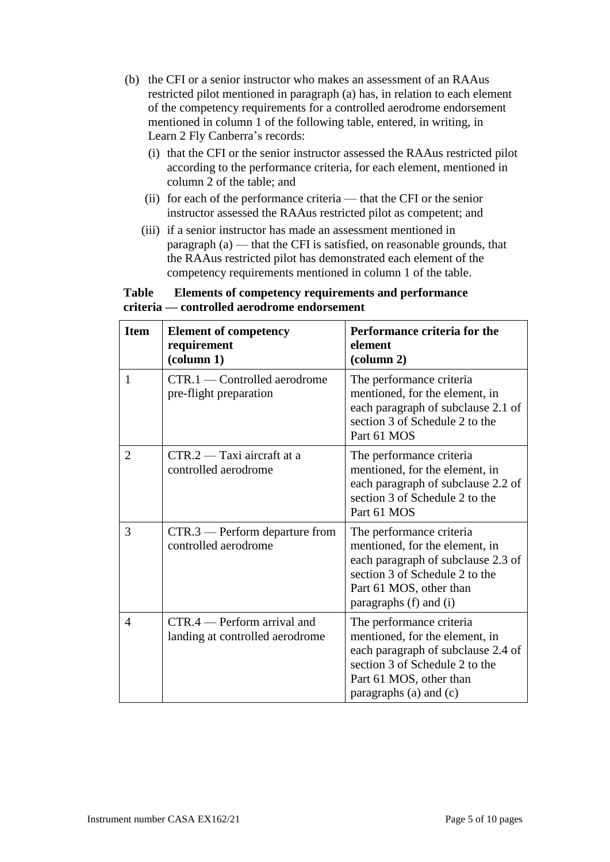- (b) the CFI or a senior instructor who makes an assessment of an RAAus restricted pilot mentioned in paragraph (a) has, in relation to each element of the competency requirements for a controlled aerodrome endorsement mentioned in column 1 of the following table, entered, in writing, in Learn 2 Fly Canberra's records:
	- (i) that the CFI or the senior instructor assessed the RAAus restricted pilot according to the performance criteria, for each element, mentioned in column 2 of the table; and
	- (ii) for each of the performance criteria that the CFI or the senior instructor assessed the RAAus restricted pilot as competent; and
	- (iii) if a senior instructor has made an assessment mentioned in paragraph (a) — that the CFI is satisfied, on reasonable grounds, that the RAAus restricted pilot has demonstrated each element of the competency requirements mentioned in column 1 of the table.

#### **Table Elements of competency requirements and performance criteria — controlled aerodrome endorsement**

| <b>Item</b>    | <b>Element of competency</b><br>requirement<br>$\text{(column 1)}$ | Performance criteria for the<br>element<br>$\left(\text{column } 2\right)$                                                                                                              |
|----------------|--------------------------------------------------------------------|-----------------------------------------------------------------------------------------------------------------------------------------------------------------------------------------|
| 1              | CTR.1 — Controlled aerodrome<br>pre-flight preparation             | The performance criteria<br>mentioned, for the element, in<br>each paragraph of subclause 2.1 of<br>section 3 of Schedule 2 to the<br>Part 61 MOS                                       |
| $\overline{2}$ | $CTR.2 - Taxi$ aircraft at a<br>controlled aerodrome               | The performance criteria<br>mentioned, for the element, in<br>each paragraph of subclause 2.2 of<br>section 3 of Schedule 2 to the<br>Part 61 MOS                                       |
| 3              | $CTR.3$ — Perform departure from<br>controlled aerodrome           | The performance criteria<br>mentioned, for the element, in<br>each paragraph of subclause 2.3 of<br>section 3 of Schedule 2 to the<br>Part 61 MOS, other than<br>paragraphs (f) and (i) |
| $\overline{4}$ | $CTR.4$ - Perform arrival and<br>landing at controlled aerodrome   | The performance criteria<br>mentioned, for the element, in<br>each paragraph of subclause 2.4 of<br>section 3 of Schedule 2 to the<br>Part 61 MOS, other than<br>paragraphs (a) and (c) |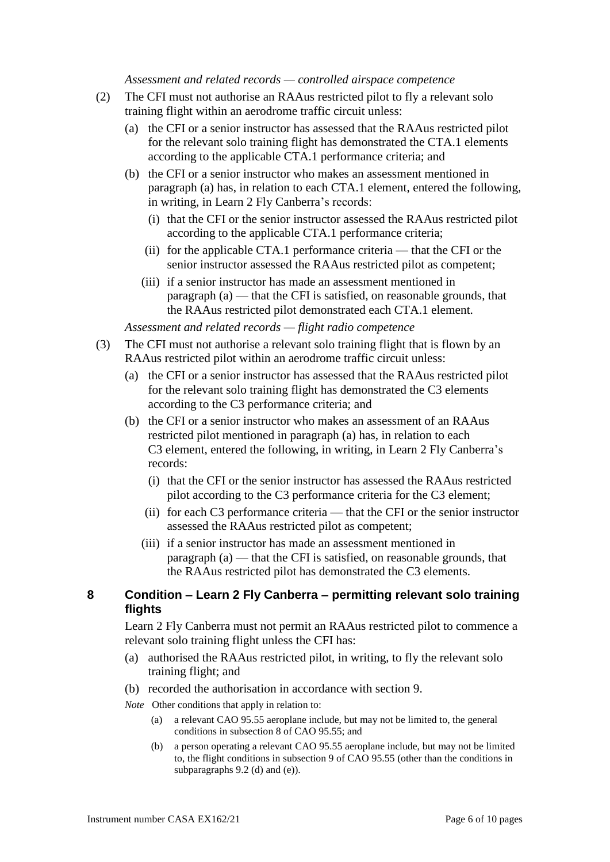*Assessment and related records — controlled airspace competence*

- (2) The CFI must not authorise an RAAus restricted pilot to fly a relevant solo training flight within an aerodrome traffic circuit unless:
	- (a) the CFI or a senior instructor has assessed that the RAAus restricted pilot for the relevant solo training flight has demonstrated the CTA.1 elements according to the applicable CTA.1 performance criteria; and
	- (b) the CFI or a senior instructor who makes an assessment mentioned in paragraph (a) has, in relation to each CTA.1 element, entered the following, in writing, in Learn 2 Fly Canberra's records:
		- (i) that the CFI or the senior instructor assessed the RAAus restricted pilot according to the applicable CTA.1 performance criteria;
		- (ii) for the applicable CTA.1 performance criteria that the CFI or the senior instructor assessed the RAAus restricted pilot as competent;
		- (iii) if a senior instructor has made an assessment mentioned in paragraph (a) — that the CFI is satisfied, on reasonable grounds, that the RAAus restricted pilot demonstrated each CTA.1 element.

*Assessment and related records — flight radio competence*

- (3) The CFI must not authorise a relevant solo training flight that is flown by an RAAus restricted pilot within an aerodrome traffic circuit unless:
	- (a) the CFI or a senior instructor has assessed that the RAAus restricted pilot for the relevant solo training flight has demonstrated the C3 elements according to the C3 performance criteria; and
	- (b) the CFI or a senior instructor who makes an assessment of an RAAus restricted pilot mentioned in paragraph (a) has, in relation to each C3 element, entered the following, in writing, in Learn 2 Fly Canberra's records:
		- (i) that the CFI or the senior instructor has assessed the RAAus restricted pilot according to the C3 performance criteria for the C3 element;
		- (ii) for each C3 performance criteria that the CFI or the senior instructor assessed the RAAus restricted pilot as competent;
		- (iii) if a senior instructor has made an assessment mentioned in paragraph (a) — that the CFI is satisfied, on reasonable grounds, that the RAAus restricted pilot has demonstrated the C3 elements.

#### **8 Condition – Learn 2 Fly Canberra – permitting relevant solo training flights**

Learn 2 Fly Canberra must not permit an RAAus restricted pilot to commence a relevant solo training flight unless the CFI has:

- (a) authorised the RAAus restricted pilot, in writing, to fly the relevant solo training flight; and
- (b) recorded the authorisation in accordance with section 9.

*Note* Other conditions that apply in relation to:

- (a) a relevant CAO 95.55 aeroplane include, but may not be limited to, the general conditions in subsection 8 of CAO 95.55; and
- (b) a person operating a relevant CAO 95.55 aeroplane include, but may not be limited to, the flight conditions in subsection 9 of CAO 95.55 (other than the conditions in subparagraphs 9.2 (d) and (e)).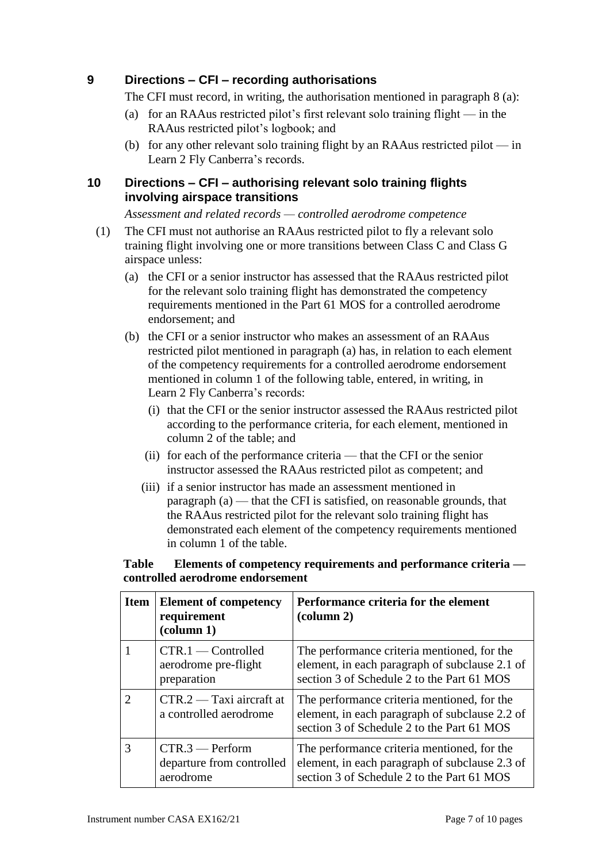# **9 Directions – CFI – recording authorisations**

The CFI must record, in writing, the authorisation mentioned in paragraph 8 (a):

- (a) for an RAAus restricted pilot's first relevant solo training flight in the RAAus restricted pilot's logbook; and
- (b) for any other relevant solo training flight by an RAAus restricted pilot in Learn 2 Fly Canberra's records.

#### **10 Directions – CFI – authorising relevant solo training flights involving airspace transitions**

*Assessment and related records — controlled aerodrome competence*

- (1) The CFI must not authorise an RAAus restricted pilot to fly a relevant solo training flight involving one or more transitions between Class C and Class G airspace unless:
	- (a) the CFI or a senior instructor has assessed that the RAAus restricted pilot for the relevant solo training flight has demonstrated the competency requirements mentioned in the Part 61 MOS for a controlled aerodrome endorsement; and
	- (b) the CFI or a senior instructor who makes an assessment of an RAAus restricted pilot mentioned in paragraph (a) has, in relation to each element of the competency requirements for a controlled aerodrome endorsement mentioned in column 1 of the following table, entered, in writing, in Learn 2 Fly Canberra's records:
		- (i) that the CFI or the senior instructor assessed the RAAus restricted pilot according to the performance criteria, for each element, mentioned in column 2 of the table; and
		- (ii) for each of the performance criteria that the CFI or the senior instructor assessed the RAAus restricted pilot as competent; and
		- (iii) if a senior instructor has made an assessment mentioned in paragraph (a) — that the CFI is satisfied, on reasonable grounds, that the RAAus restricted pilot for the relevant solo training flight has demonstrated each element of the competency requirements mentioned in column 1 of the table.

#### **Table Elements of competency requirements and performance criteria controlled aerodrome endorsement**

| <b>Item</b>           | <b>Element of competency</b><br>requirement<br>$\left(\text{column } 1\right)$ | Performance criteria for the element<br>$\left(\text{column } 2\right)$                                                                     |
|-----------------------|--------------------------------------------------------------------------------|---------------------------------------------------------------------------------------------------------------------------------------------|
|                       | $CTR.1$ - Controlled<br>aerodrome pre-flight<br>preparation                    | The performance criteria mentioned, for the<br>element, in each paragraph of subclause 2.1 of<br>section 3 of Schedule 2 to the Part 61 MOS |
| $\mathcal{D}_{\cdot}$ | $CTR.2 - Taxi$ aircraft at<br>a controlled aerodrome                           | The performance criteria mentioned, for the<br>element, in each paragraph of subclause 2.2 of<br>section 3 of Schedule 2 to the Part 61 MOS |
| 3                     | $CTR.3$ - Perform<br>departure from controlled<br>aerodrome                    | The performance criteria mentioned, for the<br>element, in each paragraph of subclause 2.3 of<br>section 3 of Schedule 2 to the Part 61 MOS |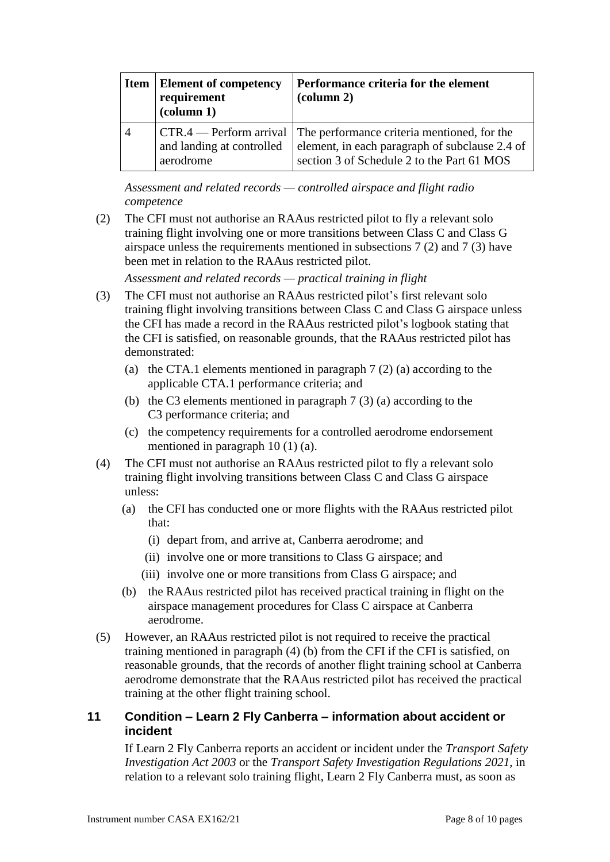|                | <b>Item   Element of competency</b><br>requirement<br>$\text{(column 1)}$ | Performance criteria for the element<br>$\left(\text{column } 2\right)$                                                                                             |
|----------------|---------------------------------------------------------------------------|---------------------------------------------------------------------------------------------------------------------------------------------------------------------|
| $\overline{4}$ | and landing at controlled<br>aerodrome                                    | CTR.4 — Perform arrival The performance criteria mentioned, for the<br>element, in each paragraph of subclause 2.4 of<br>section 3 of Schedule 2 to the Part 61 MOS |

*Assessment and related records — controlled airspace and flight radio competence*

(2) The CFI must not authorise an RAAus restricted pilot to fly a relevant solo training flight involving one or more transitions between Class C and Class G airspace unless the requirements mentioned in subsections 7 (2) and 7 (3) have been met in relation to the RAAus restricted pilot.

*Assessment and related records — practical training in flight*

- (3) The CFI must not authorise an RAAus restricted pilot's first relevant solo training flight involving transitions between Class C and Class G airspace unless the CFI has made a record in the RAAus restricted pilot's logbook stating that the CFI is satisfied, on reasonable grounds, that the RAAus restricted pilot has demonstrated:
	- (a) the CTA.1 elements mentioned in paragraph 7 (2) (a) according to the applicable CTA.1 performance criteria; and
	- (b) the C3 elements mentioned in paragraph 7 (3) (a) according to the C3 performance criteria; and
	- (c) the competency requirements for a controlled aerodrome endorsement mentioned in paragraph 10 (1) (a).
- (4) The CFI must not authorise an RAAus restricted pilot to fly a relevant solo training flight involving transitions between Class C and Class G airspace unless:
	- (a) the CFI has conducted one or more flights with the RAAus restricted pilot that:
		- (i) depart from, and arrive at, Canberra aerodrome; and
		- (ii) involve one or more transitions to Class G airspace; and
		- (iii) involve one or more transitions from Class G airspace; and
	- (b) the RAAus restricted pilot has received practical training in flight on the airspace management procedures for Class C airspace at Canberra aerodrome.
- (5) However, an RAAus restricted pilot is not required to receive the practical training mentioned in paragraph (4) (b) from the CFI if the CFI is satisfied, on reasonable grounds, that the records of another flight training school at Canberra aerodrome demonstrate that the RAAus restricted pilot has received the practical training at the other flight training school.

# **11 Condition – Learn 2 Fly Canberra – information about accident or incident**

If Learn 2 Fly Canberra reports an accident or incident under the *Transport Safety Investigation Act 2003* or the *Transport Safety Investigation Regulations 2021*, in relation to a relevant solo training flight, Learn 2 Fly Canberra must, as soon as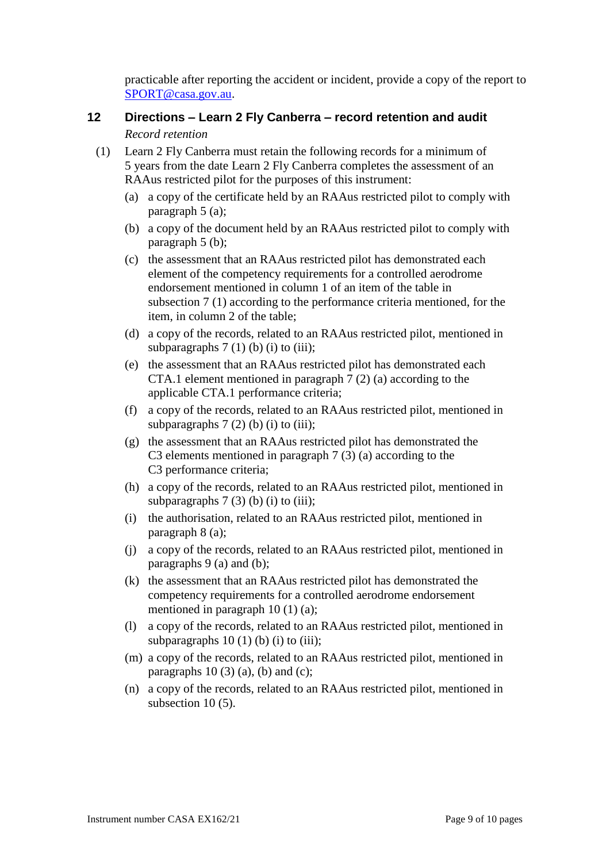practicable after reporting the accident or incident, provide a copy of the report to [SPORT@casa.gov.au.](mailto:SPORT@casa.gov.au)

# **12 Directions – Learn 2 Fly Canberra – record retention and audit**

#### *Record retention*

- (1) Learn 2 Fly Canberra must retain the following records for a minimum of 5 years from the date Learn 2 Fly Canberra completes the assessment of an RAAus restricted pilot for the purposes of this instrument:
	- (a) a copy of the certificate held by an RAAus restricted pilot to comply with paragraph 5 (a);
	- (b) a copy of the document held by an RAAus restricted pilot to comply with paragraph 5 (b);
	- (c) the assessment that an RAAus restricted pilot has demonstrated each element of the competency requirements for a controlled aerodrome endorsement mentioned in column 1 of an item of the table in subsection 7 (1) according to the performance criteria mentioned, for the item, in column 2 of the table;
	- (d) a copy of the records, related to an RAAus restricted pilot, mentioned in subparagraphs  $7(1)$  (b) (i) to (iii);
	- (e) the assessment that an RAAus restricted pilot has demonstrated each CTA.1 element mentioned in paragraph 7 (2) (a) according to the applicable CTA.1 performance criteria;
	- (f) a copy of the records, related to an RAAus restricted pilot, mentioned in subparagraphs  $7(2)$  (b) (i) to (iii);
	- (g) the assessment that an RAAus restricted pilot has demonstrated the C3 elements mentioned in paragraph 7 (3) (a) according to the C3 performance criteria;
	- (h) a copy of the records, related to an RAAus restricted pilot, mentioned in subparagraphs  $7(3)$  (b) (i) to (iii);
	- (i) the authorisation, related to an RAAus restricted pilot, mentioned in paragraph 8 (a);
	- (j) a copy of the records, related to an RAAus restricted pilot, mentioned in paragraphs 9 (a) and (b);
	- (k) the assessment that an RAAus restricted pilot has demonstrated the competency requirements for a controlled aerodrome endorsement mentioned in paragraph 10 (1) (a);
	- (l) a copy of the records, related to an RAAus restricted pilot, mentioned in subparagraphs  $10(1)$  (b) (i) to (iii);
	- (m) a copy of the records, related to an RAAus restricted pilot, mentioned in paragraphs  $10(3)(a)$ , (b) and (c);
	- (n) a copy of the records, related to an RAAus restricted pilot, mentioned in subsection 10 (5).